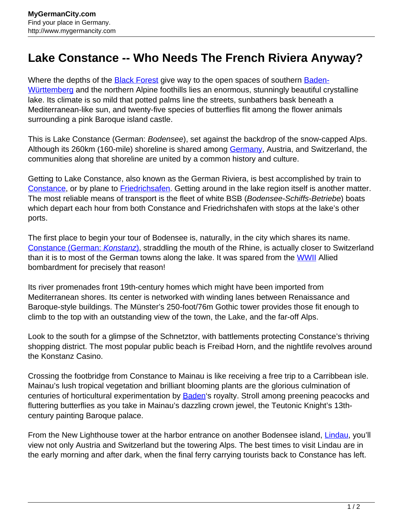## **Lake Constance -- Who Needs The French Riviera Anyway?**

Where the depths of the **[Black Forest](http://www.mygermancity.com/black-forest) give way to the open spaces of southern [Baden-](http://www.mygermancity.com/baden-wuerttemberg)**[Württemberg](http://www.mygermancity.com/baden-wuerttemberg) and the northern Alpine foothills lies an enormous, stunningly beautiful crystalline lake. Its climate is so mild that potted palms line the streets, sunbathers bask beneath a Mediterranean-like sun, and twenty-five species of butterflies flit among the flower animals surrounding a pink Baroque island castle.

This is Lake Constance (German: Bodensee), set against the backdrop of the snow-capped Alps. Although its 260km (160-mile) shoreline is shared among [Germany,](http://www.mygermancity.com/) Austria, and Switzerland, the communities along that shoreline are united by a common history and culture.

Getting to Lake Constance, also known as the German Riviera, is best accomplished by train to [Constance,](http://www.mygermancity.com/constance) or by plane to **Friedrichsafen**. Getting around in the lake region itself is another matter. The most reliable means of transport is the fleet of white BSB (Bodensee-Schiffs-Betriebe) boats which depart each hour from both Constance and Friedrichshafen with stops at the lake's other ports.

The first place to begin your tour of Bodensee is, naturally, in the city which shares its name. [Constance \(German:](http://www.mygermancity.com/constance) [Konstanz](http://www.mygermancity.com/constance)[\)](http://www.mygermancity.com/constance), straddling the mouth of the Rhine, is actually closer to Switzerland than it is to most of the German towns along the lake. It was spared from the [WWII](http://www.mygermancity.com/world-war-ii) Allied bombardment for precisely that reason!

Its river promenades front 19th-century homes which might have been imported from Mediterranean shores. Its center is networked with winding lanes between Renaissance and Baroque-style buildings. The Münster's 250-foot/76m Gothic tower provides those fit enough to climb to the top with an outstanding view of the town, the Lake, and the far-off Alps.

Look to the south for a glimpse of the Schnetztor, with battlements protecting Constance's thriving shopping district. The most popular public beach is Freibad Horn, and the nightlife revolves around the Konstanz Casino.

Crossing the footbridge from Constance to Mainau is like receiving a free trip to a Carribbean isle. Mainau's lush tropical vegetation and brilliant blooming plants are the glorious culmination of centuries of horticultural experimentation by **Baden**'s royalty. Stroll among preening peacocks and fluttering butterflies as you take in Mainau's dazzling crown jewel, the Teutonic Knight's 13thcentury painting Baroque palace.

From the New Lighthouse tower at the harbor entrance on another Bodensee island, [Lindau](http://www.mygermancity.com/lindau), you'll view not only Austria and Switzerland but the towering Alps. The best times to visit Lindau are in the early morning and after dark, when the final ferry carrying tourists back to Constance has left.